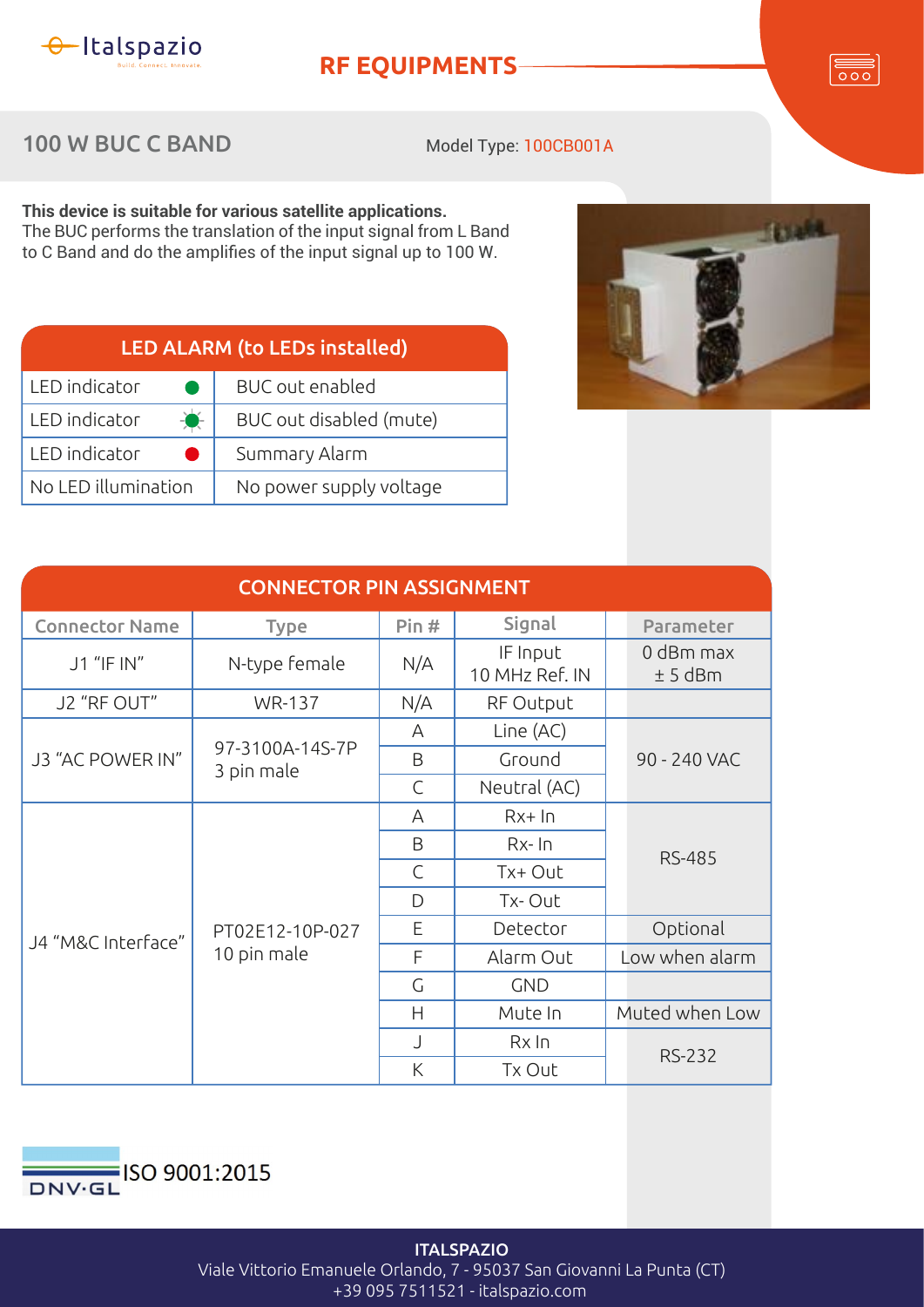

## **RF EQUIPMENTS**

 $\overline{\circ\circ}$ 

## 100 W BUC C BAND

Model Type: 100CB001A

**This device is suitable for various satellite applications.** The BUC performs the translation of the input signal from L Band to C Band and do the amplifies of the input signal up to 100 W.

| <b>LED ALARM (to LEDs installed)</b> |                         |  |  |
|--------------------------------------|-------------------------|--|--|
| LED indicator                        | <b>BUC</b> out enabled  |  |  |
| LED indicator<br>$\bullet$           | BUC out disabled (mute) |  |  |
| LED indicator                        | Summary Alarm           |  |  |
| No LED illumination                  | No power supply voltage |  |  |



| <b>CONNECTOR PIN ASSIGNMENT</b> |                                |              |                            |                        |  |  |
|---------------------------------|--------------------------------|--------------|----------------------------|------------------------|--|--|
| <b>Connector Name</b>           | <b>Type</b>                    | Pin#         | Signal                     | Parameter              |  |  |
| J1 "IF IN"                      | N-type female                  | N/A          | IF Input<br>10 MHz Ref. IN | 0 dBm max<br>$± 5$ dBm |  |  |
| J2 "RF OUT"                     | <b>WR-137</b>                  | N/A          | RF Output                  |                        |  |  |
| J3 "AC POWER IN"                | 97-3100A-14S-7P<br>3 pin male  | A            | Line (AC)                  | 90 - 240 VAC           |  |  |
|                                 |                                | B            | Ground                     |                        |  |  |
|                                 |                                | $\mathsf{C}$ | Neutral (AC)               |                        |  |  |
| J4 "M&C Interface"              | PT02E12-10P-027<br>10 pin male | A            | $Rx+In$                    | <b>RS-485</b>          |  |  |
|                                 |                                | B            | $Rx$ - $\ln$               |                        |  |  |
|                                 |                                | $\mathsf{C}$ | Tx+ Out                    |                        |  |  |
|                                 |                                | D            | Tx-Out                     |                        |  |  |
|                                 |                                | E            | Detector                   | Optional               |  |  |
|                                 |                                | F            | Alarm Out                  | Low when alarm         |  |  |
|                                 |                                | G            | <b>GND</b>                 |                        |  |  |
|                                 |                                | Н            | Mute In                    | Muted when Low         |  |  |
|                                 |                                | J            | $Rx$ In                    | <b>RS-232</b>          |  |  |
|                                 |                                | K            | Tx Out                     |                        |  |  |



**ITALSPAZIO** Viale Vittorio Emanuele Orlando, 7 - 95037 San Giovanni La Punta (CT) +39 095 7511521 - italspazio.com